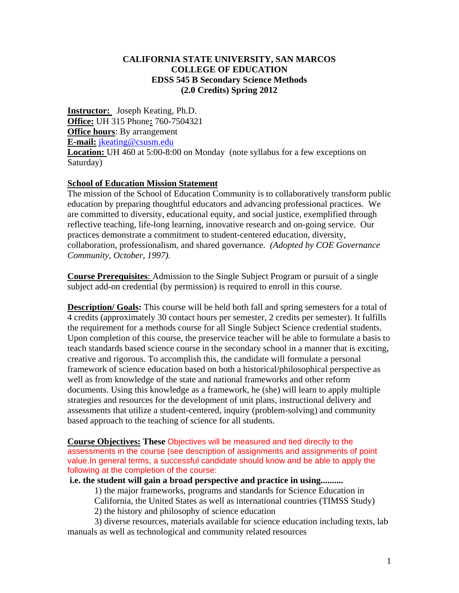#### **CALIFORNIA STATE UNIVERSITY, SAN MARCOS COLLEGE OF EDUCATION EDSS 545 B Secondary Science Methods (2.0 Credits) Spring 2012**

**Instructor:** Joseph Keating, Ph.D. **Office:** UH 315 Phone**:** 760-7504321 **Office hours**: By arrangement **E-mail:** jkeating@csusm.edu **Location:** UH 460 at 5:00-8:00 on Monday (note syllabus for a few exceptions on Saturday)

#### **School of Education Mission Statement**

The mission of the School of Education Community is to collaboratively transform public education by preparing thoughtful educators and advancing professional practices. We are committed to diversity, educational equity, and social justice, exemplified through reflective teaching, life-long learning, innovative research and on-going service. Our practices demonstrate a commitment to student-centered education, diversity, collaboration, professionalism, and shared governance. *(Adopted by COE Governance Community, October, 1997).* 

**Course Prerequisites**: Admission to the Single Subject Program or pursuit of a single subject add-on credential (by permission) is required to enroll in this course.

**Description/ Goals:** This course will be held both fall and spring semesters for a total of 4 credits (approximately 30 contact hours per semester, 2 credits per semester). It fulfills the requirement for a methods course for all Single Subject Science credential students. Upon completion of this course, the preservice teacher will be able to formulate a basis to teach standards based science course in the secondary school in a manner that is exciting, creative and rigorous. To accomplish this, the candidate will formulate a personal framework of science education based on both a historical/philosophical perspective as well as from knowledge of the state and national frameworks and other reform documents. Using this knowledge as a framework, he (she) will learn to apply multiple strategies and resources for the development of unit plans, instructional delivery and assessments that utilize a student-centered, inquiry (problem-solving) and community based approach to the teaching of science for all students.

**Course Objectives: These** Objectives will be measured and tied directly to the assessments in the course (see description of assignments and assignments of point value.In general terms, a successful candidate should know and be able to apply the following at the completion of the course:

#### **i.e. the student will gain a broad perspective and practice in using..........**

1) the major frameworks, programs and standards for Science Education in California, the United States as well as international countries (TIMSS Study)

2) the history and philosophy of science education

3) diverse resources, materials available for science education including texts, lab manuals as well as technological and community related resources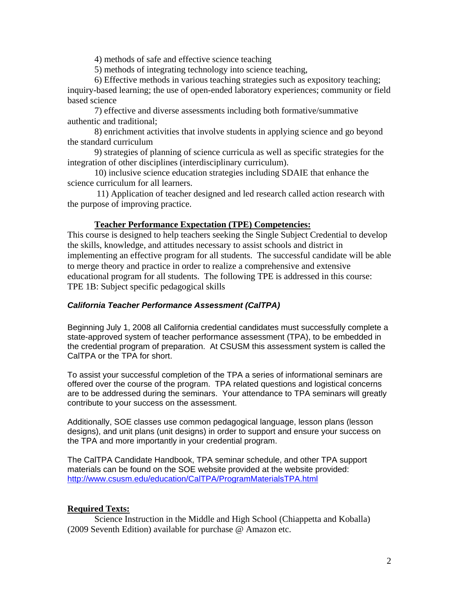4) methods of safe and effective science teaching

5) methods of integrating technology into science teaching,

6) Effective methods in various teaching strategies such as expository teaching;

inquiry-based learning; the use of open-ended laboratory experiences; community or field based science

7) effective and diverse assessments including both formative/summative authentic and traditional;

8) enrichment activities that involve students in applying science and go beyond the standard curriculum

9) strategies of planning of science curricula as well as specific strategies for the integration of other disciplines (interdisciplinary curriculum).

10) inclusive science education strategies including SDAIE that enhance the science curriculum for all learners.

 11) Application of teacher designed and led research called action research with the purpose of improving practice.

### **Teacher Performance Expectation (TPE) Competencies:**

This course is designed to help teachers seeking the Single Subject Credential to develop the skills, knowledge, and attitudes necessary to assist schools and district in implementing an effective program for all students. The successful candidate will be able to merge theory and practice in order to realize a comprehensive and extensive educational program for all students. The following TPE is addressed in this course: TPE 1B: Subject specific pedagogical skills

#### *California Teacher Performance Assessment (CalTPA)*

Beginning July 1, 2008 all California credential candidates must successfully complete a state-approved system of teacher performance assessment (TPA), to be embedded in the credential program of preparation. At CSUSM this assessment system is called the CalTPA or the TPA for short.

To assist your successful completion of the TPA a series of informational seminars are offered over the course of the program. TPA related questions and logistical concerns are to be addressed during the seminars. Your attendance to TPA seminars will greatly contribute to your success on the assessment.

Additionally, SOE classes use common pedagogical language, lesson plans (lesson designs), and unit plans (unit designs) in order to support and ensure your success on the TPA and more importantly in your credential program.

The CalTPA Candidate Handbook, TPA seminar schedule, and other TPA support materials can be found on the SOE website provided at the website provided: http://www.csusm.edu/education/CalTPA/ProgramMaterialsTPA.html

# **Required Texts:**

Science Instruction in the Middle and High School (Chiappetta and Koballa) (2009 Seventh Edition) available for purchase @ Amazon etc.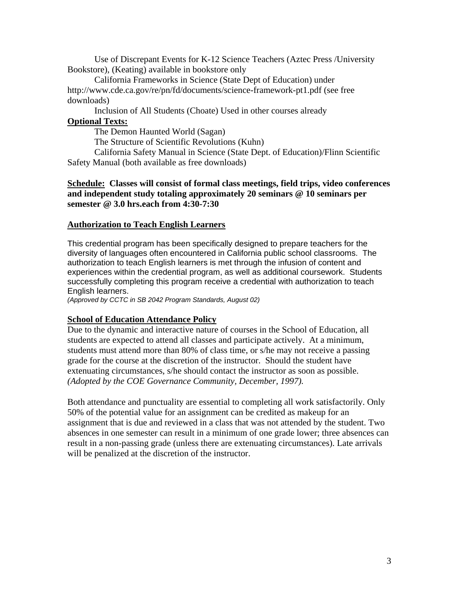Use of Discrepant Events for K-12 Science Teachers (Aztec Press /University Bookstore), (Keating) available in bookstore only

California Frameworks in Science (State Dept of Education) under http://www.cde.ca.gov/re/pn/fd/documents/science-framework-pt1.pdf (see free downloads)

Inclusion of All Students (Choate) Used in other courses already **Optional Texts:** 

The Demon Haunted World (Sagan)

The Structure of Scientific Revolutions (Kuhn)

California Safety Manual in Science (State Dept. of Education)/Flinn Scientific Safety Manual (both available as free downloads)

**Schedule: Classes will consist of formal class meetings, field trips, video conferences and independent study totaling approximately 20 seminars @ 10 seminars per semester @ 3.0 hrs.each from 4:30-7:30** 

#### **Authorization to Teach English Learners**

This credential program has been specifically designed to prepare teachers for the diversity of languages often encountered in California public school classrooms. The authorization to teach English learners is met through the infusion of content and experiences within the credential program, as well as additional coursework. Students successfully completing this program receive a credential with authorization to teach English learners.

*(Approved by CCTC in SB 2042 Program Standards, August 02)* 

#### **School of Education Attendance Policy**

 *(Adopted by the COE Governance Community, December, 1997).* Due to the dynamic and interactive nature of courses in the School of Education, all students are expected to attend all classes and participate actively. At a minimum, students must attend more than 80% of class time, or s/he may not receive a passing grade for the course at the discretion of the instructor. Should the student have extenuating circumstances, s/he should contact the instructor as soon as possible.

Both attendance and punctuality are essential to completing all work satisfactorily. Only 50% of the potential value for an assignment can be credited as makeup for an assignment that is due and reviewed in a class that was not attended by the student. Two absences in one semester can result in a minimum of one grade lower; three absences can result in a non-passing grade (unless there are extenuating circumstances). Late arrivals will be penalized at the discretion of the instructor.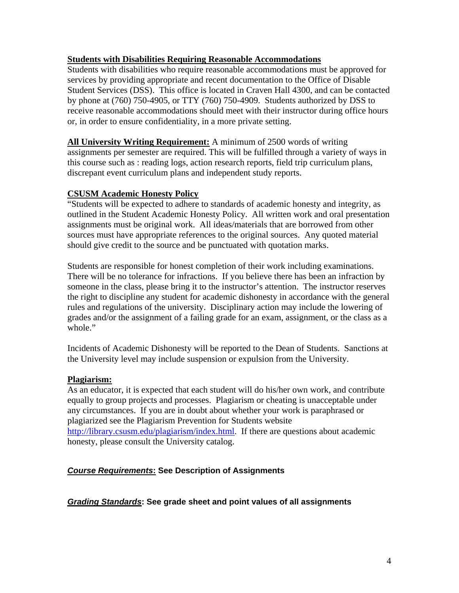### **Students with Disabilities Requiring Reasonable Accommodations**

Students with disabilities who require reasonable accommodations must be approved for services by providing appropriate and recent documentation to the Office of Disable Student Services (DSS). This office is located in Craven Hall 4300, and can be contacted by phone at (760) 750-4905, or TTY (760) 750-4909. Students authorized by DSS to receive reasonable accommodations should meet with their instructor during office hours or, in order to ensure confidentiality, in a more private setting.

**All University Writing Requirement:** A minimum of 2500 words of writing assignments per semester are required. This will be fulfilled through a variety of ways in this course such as : reading logs, action research reports, field trip curriculum plans, discrepant event curriculum plans and independent study reports.

### **CSUSM Academic Honesty Policy**

"Students will be expected to adhere to standards of academic honesty and integrity, as outlined in the Student Academic Honesty Policy. All written work and oral presentation assignments must be original work. All ideas/materials that are borrowed from other sources must have appropriate references to the original sources. Any quoted material should give credit to the source and be punctuated with quotation marks.

Students are responsible for honest completion of their work including examinations. There will be no tolerance for infractions. If you believe there has been an infraction by someone in the class, please bring it to the instructor's attention. The instructor reserves the right to discipline any student for academic dishonesty in accordance with the general rules and regulations of the university. Disciplinary action may include the lowering of grades and/or the assignment of a failing grade for an exam, assignment, or the class as a whole."

Incidents of Academic Dishonesty will be reported to the Dean of Students. Sanctions at the University level may include suspension or expulsion from the University.

#### **Plagiarism:**

As an educator, it is expected that each student will do his/her own work, and contribute equally to group projects and processes. Plagiarism or cheating is unacceptable under any circumstances. If you are in doubt about whether your work is paraphrased or plagiarized see the Plagiarism Prevention for Students website http://library.csusm.edu/plagiarism/index.html. If there are questions about academic honesty, please consult the University catalog.

#### *Course Requirements***: See Description of Assignments**

#### *Grading Standards***: See grade sheet and point values of all assignments**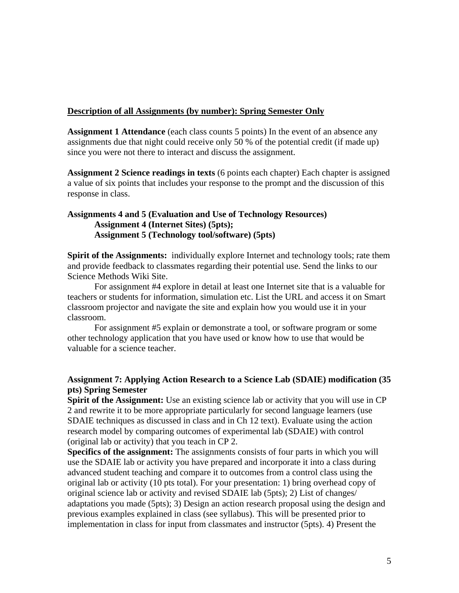#### **Description of all Assignments (by number): Spring Semester Only**

**Assignment 1 Attendance** (each class counts 5 points) In the event of an absence any assignments due that night could receive only 50 % of the potential credit (if made up) since you were not there to interact and discuss the assignment.

**Assignment 2 Science readings in texts** (6 points each chapter) Each chapter is assigned a value of six points that includes your response to the prompt and the discussion of this response in class.

### **Assignments 4 and 5 (Evaluation and Use of Technology Resources) Assignment 4 (Internet Sites) (5pts); Assignment 5 (Technology tool/software) (5pts)**

**Spirit of the Assignments:** individually explore Internet and technology tools; rate them and provide feedback to classmates regarding their potential use. Send the links to our Science Methods Wiki Site.

For assignment #4 explore in detail at least one Internet site that is a valuable for teachers or students for information, simulation etc. List the URL and access it on Smart classroom projector and navigate the site and explain how you would use it in your classroom.

For assignment #5 explain or demonstrate a tool, or software program or some other technology application that you have used or know how to use that would be valuable for a science teacher.

### **Assignment 7: Applying Action Research to a Science Lab (SDAIE) modification (35 pts) Spring Semester**

**Spirit of the Assignment:** Use an existing science lab or activity that you will use in CP 2 and rewrite it to be more appropriate particularly for second language learners (use SDAIE techniques as discussed in class and in Ch 12 text). Evaluate using the action research model by comparing outcomes of experimental lab (SDAIE) with control (original lab or activity) that you teach in CP 2.

**Specifics of the assignment:** The assignments consists of four parts in which you will use the SDAIE lab or activity you have prepared and incorporate it into a class during advanced student teaching and compare it to outcomes from a control class using the original lab or activity (10 pts total). For your presentation: 1) bring overhead copy of original science lab or activity and revised SDAIE lab (5pts); 2) List of changes/ adaptations you made (5pts); 3) Design an action research proposal using the design and previous examples explained in class (see syllabus). This will be presented prior to implementation in class for input from classmates and instructor (5pts). 4) Present the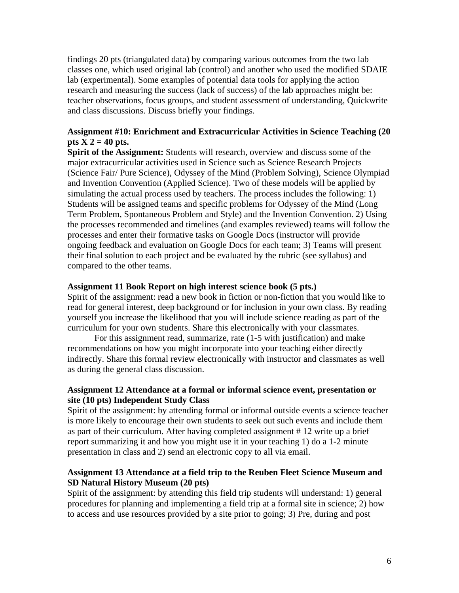findings 20 pts (triangulated data) by comparing various outcomes from the two lab classes one, which used original lab (control) and another who used the modified SDAIE lab (experimental). Some examples of potential data tools for applying the action research and measuring the success (lack of success) of the lab approaches might be: teacher observations, focus groups, and student assessment of understanding, Quickwrite and class discussions. Discuss briefly your findings.

### **Assignment #10: Enrichment and Extracurricular Activities in Science Teaching (20**  pts  $X$  2 = 40 pts.

**Spirit of the Assignment:** Students will research, overview and discuss some of the major extracurricular activities used in Science such as Science Research Projects (Science Fair/ Pure Science), Odyssey of the Mind (Problem Solving), Science Olympiad and Invention Convention (Applied Science). Two of these models will be applied by simulating the actual process used by teachers. The process includes the following: 1) Students will be assigned teams and specific problems for Odyssey of the Mind (Long Term Problem, Spontaneous Problem and Style) and the Invention Convention. 2) Using the processes recommended and timelines (and examples reviewed) teams will follow the processes and enter their formative tasks on Google Docs (instructor will provide ongoing feedback and evaluation on Google Docs for each team; 3) Teams will present their final solution to each project and be evaluated by the rubric (see syllabus) and compared to the other teams.

#### **Assignment 11 Book Report on high interest science book (5 pts.)**

Spirit of the assignment: read a new book in fiction or non-fiction that you would like to read for general interest, deep background or for inclusion in your own class. By reading yourself you increase the likelihood that you will include science reading as part of the curriculum for your own students. Share this electronically with your classmates.

For this assignment read, summarize, rate (1-5 with justification) and make recommendations on how you might incorporate into your teaching either directly indirectly. Share this formal review electronically with instructor and classmates as well as during the general class discussion.

#### **Assignment 12 Attendance at a formal or informal science event, presentation or site (10 pts) Independent Study Class**

Spirit of the assignment: by attending formal or informal outside events a science teacher is more likely to encourage their own students to seek out such events and include them as part of their curriculum. After having completed assignment # 12 write up a brief report summarizing it and how you might use it in your teaching 1) do a 1-2 minute presentation in class and 2) send an electronic copy to all via email.

#### **Assignment 13 Attendance at a field trip to the Reuben Fleet Science Museum and SD Natural History Museum (20 pts)**

Spirit of the assignment: by attending this field trip students will understand: 1) general procedures for planning and implementing a field trip at a formal site in science; 2) how to access and use resources provided by a site prior to going; 3) Pre, during and post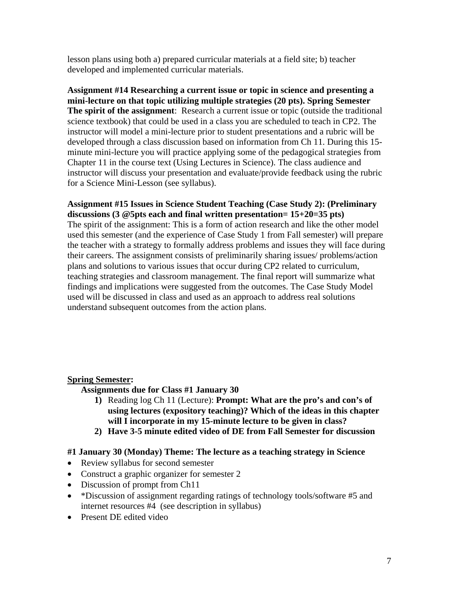lesson plans using both a) prepared curricular materials at a field site; b) teacher developed and implemented curricular materials.

**Assignment #14 Researching a current issue or topic in science and presenting a mini-lecture on that topic utilizing multiple strategies (20 pts). Spring Semester The spirit of the assignment**: Research a current issue or topic (outside the traditional science textbook) that could be used in a class you are scheduled to teach in CP2. The instructor will model a mini-lecture prior to student presentations and a rubric will be developed through a class discussion based on information from Ch 11. During this 15 minute mini-lecture you will practice applying some of the pedagogical strategies from Chapter 11 in the course text (Using Lectures in Science). The class audience and instructor will discuss your presentation and evaluate/provide feedback using the rubric for a Science Mini-Lesson (see syllabus).

# **Assignment #15 Issues in Science Student Teaching (Case Study 2): (Preliminary discussions (3 @5pts each and final written presentation= 15+20=35 pts)**

The spirit of the assignment: This is a form of action research and like the other model used this semester (and the experience of Case Study 1 from Fall semester) will prepare the teacher with a strategy to formally address problems and issues they will face during their careers. The assignment consists of preliminarily sharing issues/ problems/action plans and solutions to various issues that occur during CP2 related to curriculum, teaching strategies and classroom management. The final report will summarize what findings and implications were suggested from the outcomes. The Case Study Model used will be discussed in class and used as an approach to address real solutions understand subsequent outcomes from the action plans.

# **Spring Semester:**

**Assignments due for Class #1 January 30** 

- **1)** Reading log Ch 11 (Lecture): **Prompt: What are the pro's and con's of using lectures (expository teaching)? Which of the ideas in this chapter will I incorporate in my 15-minute lecture to be given in class?**
- 2) Have 3-5 minute edited video of DE from Fall Semester for discussion

# **2) Have 3-5 minute edited video of DE from Fall Semester for discussion #1 January 30 (Monday) Theme: The lecture as a teaching strategy in Science**

- Review syllabus for second semester
- Construct a graphic organizer for semester 2
- Discussion of prompt from Ch11
- \*Discussion of assignment regarding ratings of technology tools/software #5 and internet resources #4 (see description in syllabus)
- Present DE edited video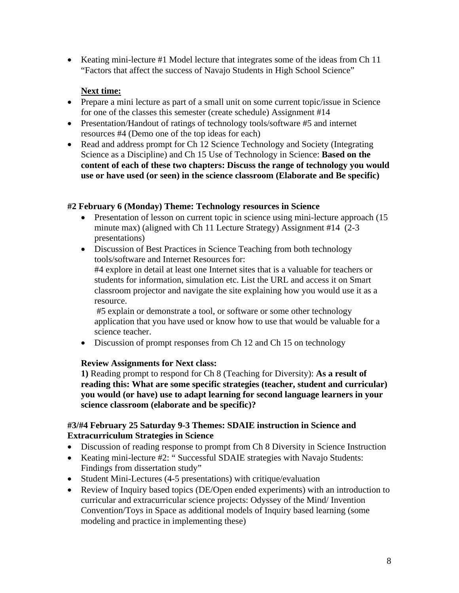• Keating mini-lecture #1 Model lecture that integrates some of the ideas from Ch 11 "Factors that affect the success of Navajo Students in High School Science"

# **Next time:**

- Prepare a mini lecture as part of a small unit on some current topic/issue in Science for one of the classes this semester (create schedule) Assignment #14
- Presentation/Handout of ratings of technology tools/software #5 and internet resources #4 (Demo one of the top ideas for each)
- Read and address prompt for Ch 12 Science Technology and Society (Integrating Science as a Discipline) and Ch 15 Use of Technology in Science: **Based on the content of each of these two chapters: Discuss the range of technology you would use or have used (or seen) in the science classroom (Elaborate and Be specific)**

# **#2 February 6 (Monday) Theme: Technology resources in Science**

- Presentation of lesson on current topic in science using mini-lecture approach (15 minute max) (aligned with Ch 11 Lecture Strategy) Assignment #14 (2-3 presentations)
- Discussion of Best Practices in Science Teaching from both technology tools/software and Internet Resources for:

#4 explore in detail at least one Internet sites that is a valuable for teachers or students for information, simulation etc. List the URL and access it on Smart classroom projector and navigate the site explaining how you would use it as a resource.

 #5 explain or demonstrate a tool, or software or some other technology application that you have used or know how to use that would be valuable for a science teacher.

• Discussion of prompt responses from Ch 12 and Ch 15 on technology

# **Review Assignments for Next class:**

**1)** Reading prompt to respond for Ch 8 (Teaching for Diversity): **As a result of reading this: What are some specific strategies (teacher, student and curricular) you would (or have) use to adapt learning for second language learners in your science classroom (elaborate and be specific)?**

# **#3/#4 February 25 Saturday 9-3 Themes: SDAIE instruction in Science and Extracurriculum Strategies in Science**

- Discussion of reading response to prompt from Ch 8 Diversity in Science Instruction
- Keating mini-lecture #2: " Successful SDAIE strategies with Navajo Students: Findings from dissertation study"
- Student Mini-Lectures (4-5 presentations) with critique/evaluation
- Review of Inquiry based topics (DE/Open ended experiments) with an introduction to curricular and extracurricular science projects: Odyssey of the Mind/ Invention Convention/Toys in Space as additional models of Inquiry based learning (some modeling and practice in implementing these)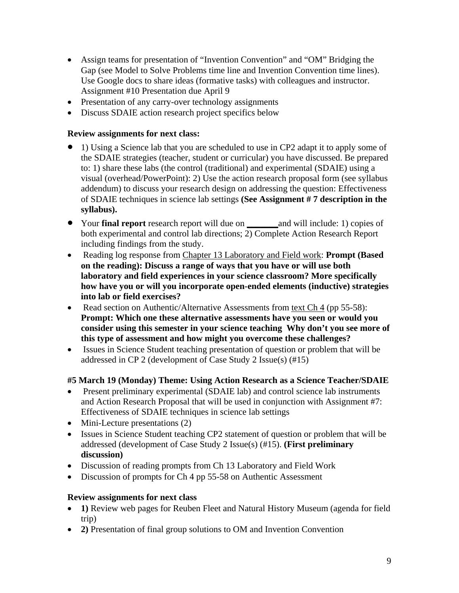- Assign teams for presentation of "Invention Convention" and "OM" Bridging the Gap (see Model to Solve Problems time line and Invention Convention time lines). Use Google docs to share ideas (formative tasks) with colleagues and instructor. Assignment #10 Presentation due April 9
- Presentation of any carry-over technology assignments
- Discuss SDAIE action research project specifics below

### **Review assignments for next class:**

- 1) Using a Science lab that you are scheduled to use in CP2 adapt it to apply some of the SDAIE strategies (teacher, student or curricular) you have discussed. Be prepared to: 1) share these labs (the control (traditional) and experimental (SDAIE) using a visual (overhead/PowerPoint): 2) Use the action research proposal form (see syllabus addendum) to discuss your research design on addressing the question: Effectiveness of SDAIE techniques in science lab settings **(See Assignment # 7 description in the syllabus).**
- Your **final report** research report will due on **\_\_\_\_\_\_\_**and will include: 1) copies of both experimental and control lab directions; 2) Complete Action Research Report including findings from the study.
- Reading log response from Chapter 13 Laboratory and Field work: **Prompt (Based on the reading): Discuss a range of ways that you have or will use both laboratory and field experiences in your science classroom? More specifically how have you or will you incorporate open-ended elements (inductive) strategies into lab or field exercises?**
- Read section on Authentic/Alternative Assessments from text Ch 4 (pp 55-58): **Prompt: Which one these alternative assessments have you seen or would you consider using this semester in your science teaching Why don't you see more of this type of assessment and how might you overcome these challenges?**
- Issues in Science Student teaching presentation of question or problem that will be addressed in CP 2 (development of Case Study 2 Issue(s) (#15)

# **#5 March 19 (Monday) Theme: Using Action Research as a Science Teacher/SDAIE**

- Present preliminary experimental (SDAIE lab) and control science lab instruments and Action Research Proposal that will be used in conjunction with Assignment #7: Effectiveness of SDAIE techniques in science lab settings
- Mini-Lecture presentations (2)
- Issues in Science Student teaching CP2 statement of question or problem that will be addressed (development of Case Study 2 Issue(s) (#15). **(First preliminary discussion)**
- Discussion of reading prompts from Ch 13 Laboratory and Field Work
- Discussion of prompts for Ch 4 pp 55-58 on Authentic Assessment

# **Review assignments for next class**

- **1)** Review web pages for Reuben Fleet and Natural History Museum (agenda for field trip)
- **2)** Presentation of final group solutions to OM and Invention Convention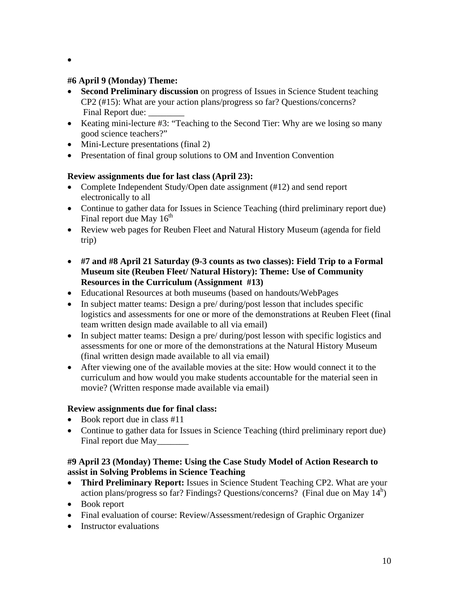$\bullet$ 

# **#6 April 9 (Monday) Theme:**

- **Second Preliminary discussion** on progress of Issues in Science Student teaching CP2 (#15): What are your action plans/progress so far? Questions/concerns? Final Report due:
- Keating mini-lecture #3: "Teaching to the Second Tier: Why are we losing so many good science teachers?"
- Mini-Lecture presentations (final 2)
- Presentation of final group solutions to OM and Invention Convention

# **Review assignments due for last class (April 23):**

- Complete Independent Study/Open date assignment (#12) and send report electronically to all
- Continue to gather data for Issues in Science Teaching (third preliminary report due) Final report due May  $16<sup>th</sup>$
- Review web pages for Reuben Fleet and Natural History Museum (agenda for field trip)
- **#7 and #8 April 21 Saturday (9-3 counts as two classes): Field Trip to a Formal Museum site (Reuben Fleet/ Natural History): Theme: Use of Community Resources in the Curriculum (Assignment #13)**
- Educational Resources at both museums (based on handouts/WebPages
- In subject matter teams: Design a pre/ during/post lesson that includes specific logistics and assessments for one or more of the demonstrations at Reuben Fleet (final team written design made available to all via email)
- In subject matter teams: Design a pre/ during/post lesson with specific logistics and assessments for one or more of the demonstrations at the Natural History Museum (final written design made available to all via email)
- After viewing one of the available movies at the site: How would connect it to the curriculum and how would you make students accountable for the material seen in movie? (Written response made available via email)

# **Review assignments due for final class:**

- $\bullet$  Book report due in class #11
- Continue to gather data for Issues in Science Teaching (third preliminary report due) Final report due May

# **#9 April 23 (Monday) Theme: Using the Case Study Model of Action Research to assist in Solving Problems in Science Teaching**

- **Third Preliminary Report:** Issues in Science Student Teaching CP2. What are your action plans/progress so far? Findings? Questions/concerns? (Final due on May  $14<sup>h</sup>$ )
- Book report
- Final evaluation of course: Review/Assessment/redesign of Graphic Organizer
- Instructor evaluations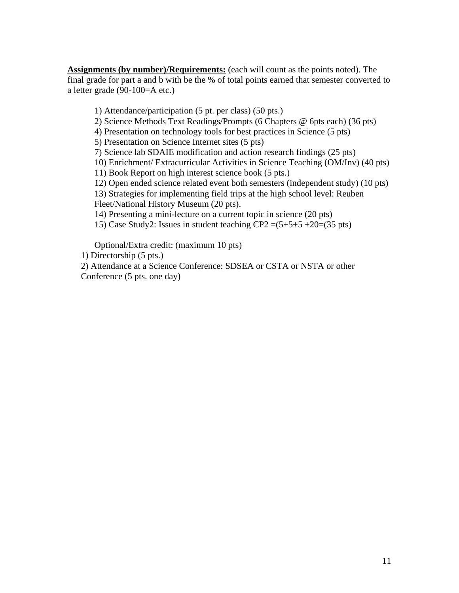**Assignments (by number)/Requirements:** (each will count as the points noted). The final grade for part a and b with be the % of total points earned that semester converted to a letter grade (90-100=A etc.)

1) Attendance/participation (5 pt. per class) (50 pts.)

2) Science Methods Text Readings/Prompts (6 Chapters @ 6pts each) (36 pts)

4) Presentation on technology tools for best practices in Science (5 pts)

5) Presentation on Science Internet sites (5 pts)

7) Science lab SDAIE modification and action research findings (25 pts)

 10) Enrichment/ Extracurricular Activities in Science Teaching (OM/Inv) (40 pts)

11) Book Report on high interest science book (5 pts.)

12) Open ended science related event both semesters (independent study) (10 pts)

13) Strategies for implementing field trips at the high school level: Reuben Fleet/National History Museum (20 pts).

14) Presenting a mini-lecture on a current topic in science (20 pts)

15) Case Study2: Issues in student teaching  $CP2 = (5+5+5+20) = (35 \text{ pts})$ 

Optional/Extra credit: (maximum 10 pts)

1) Directorship (5 pts.)

2) Attendance at a Science Conference: SDSEA or CSTA or NSTA or other Conference (5 pts. one day)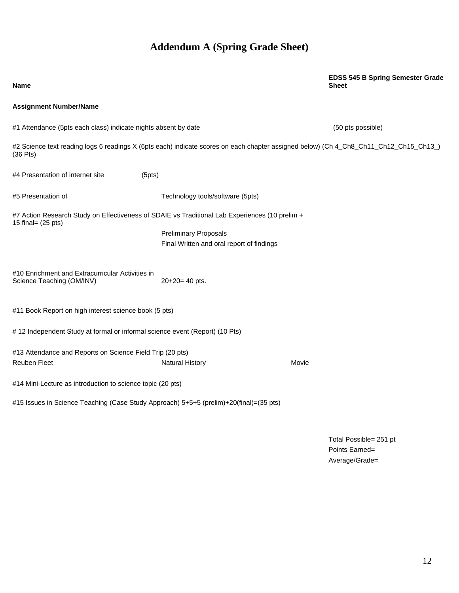# **Addendum A (Spring Grade Sheet)**

# #4 Presentation of internet site (5pts) Final Written and oral report of findings **Name EDSS 545 B Spring Semester Grade Sheet Assignment Number/Name**  #1 Attendance (5pts each class) indicate nights absent by date (50 pts possible) #2 Science text reading logs 6 readings X (6pts each) indicate scores on each chapter assigned below) (Ch 4\_Ch8\_Ch11\_Ch12\_Ch15\_Ch13\_) (36 Pts) #5 Presentation of Technology tools/software (5pts) #7 Action Research Study on Effectiveness of SDAIE vs Traditional Lab Experiences (10 prelim + 15 final= (25 pts) Preliminary Proposals Final Written and oral report of findings<br>#10 Enrichment and Extracurricular Activities in Science Teaching (OM/INV) 20+20= 40 pts. #11 Book Report on high interest science book (5 pts) # 12 Independent Study at formal or informal science event (Report) (10 Pts) #13 Attendance and Reports on Science Field Trip (20 pts) **Reuben Fleet Natural History Movie Charles Act and Actual History Charles Act and Act and Act and Act and Act and Act and Act and Act and Act and Act and Act and Act and Act and Act and Act and Act and Act and Act and Act** #14 Mini-Lecture as introduction to science topic (20 pts) #15 Issues in Science Teaching (Case Study Approach) 5+5+5 (prelim)+20(final)=(35 pts)

Total Possible= 251 pt Points Earned= Average/Grade=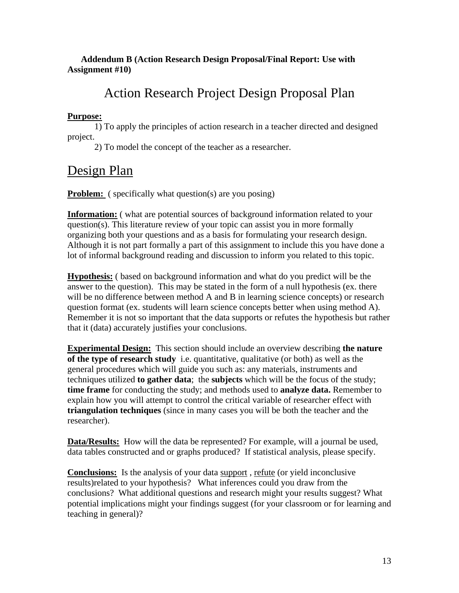# **Addendum B (Action Research Design Proposal/Final Report: Use with Assignment #10)**

# Action Research Project Design Proposal Plan

# **Purpose:**

1) To apply the principles of action research in a teacher directed and designed project.

2) To model the concept of the teacher as a researcher.

# Design Plan

**Problem:** ( specifically what question(s) are you posing)

**Information:** ( what are potential sources of background information related to your question(s). This literature review of your topic can assist you in more formally organizing both your questions and as a basis for formulating your research design. Although it is not part formally a part of this assignment to include this you have done a lot of informal background reading and discussion to inform you related to this topic.

**Hypothesis:** ( based on background information and what do you predict will be the answer to the question). This may be stated in the form of a null hypothesis (ex. there will be no difference between method A and B in learning science concepts) or research question format (ex. students will learn science concepts better when using method A). Remember it is not so important that the data supports or refutes the hypothesis but rather that it (data) accurately justifies your conclusions.

**Experimental Design:** This section should include an overview describing **the nature of the type of research study** i.e. quantitative, qualitative (or both) as well as the general procedures which will guide you such as: any materials, instruments and techniques utilized **to gather data**; the **subjects** which will be the focus of the study; **time frame** for conducting the study; and methods used to **analyze data.** Remember to explain how you will attempt to control the critical variable of researcher effect with **triangulation techniques** (since in many cases you will be both the teacher and the researcher).

**Data/Results:** How will the data be represented? For example, will a journal be used, data tables constructed and or graphs produced? If statistical analysis, please specify.

**Conclusions:** Is the analysis of your data support , refute (or yield inconclusive results)related to your hypothesis? What inferences could you draw from the conclusions? What additional questions and research might your results suggest? What potential implications might your findings suggest (for your classroom or for learning and teaching in general)?